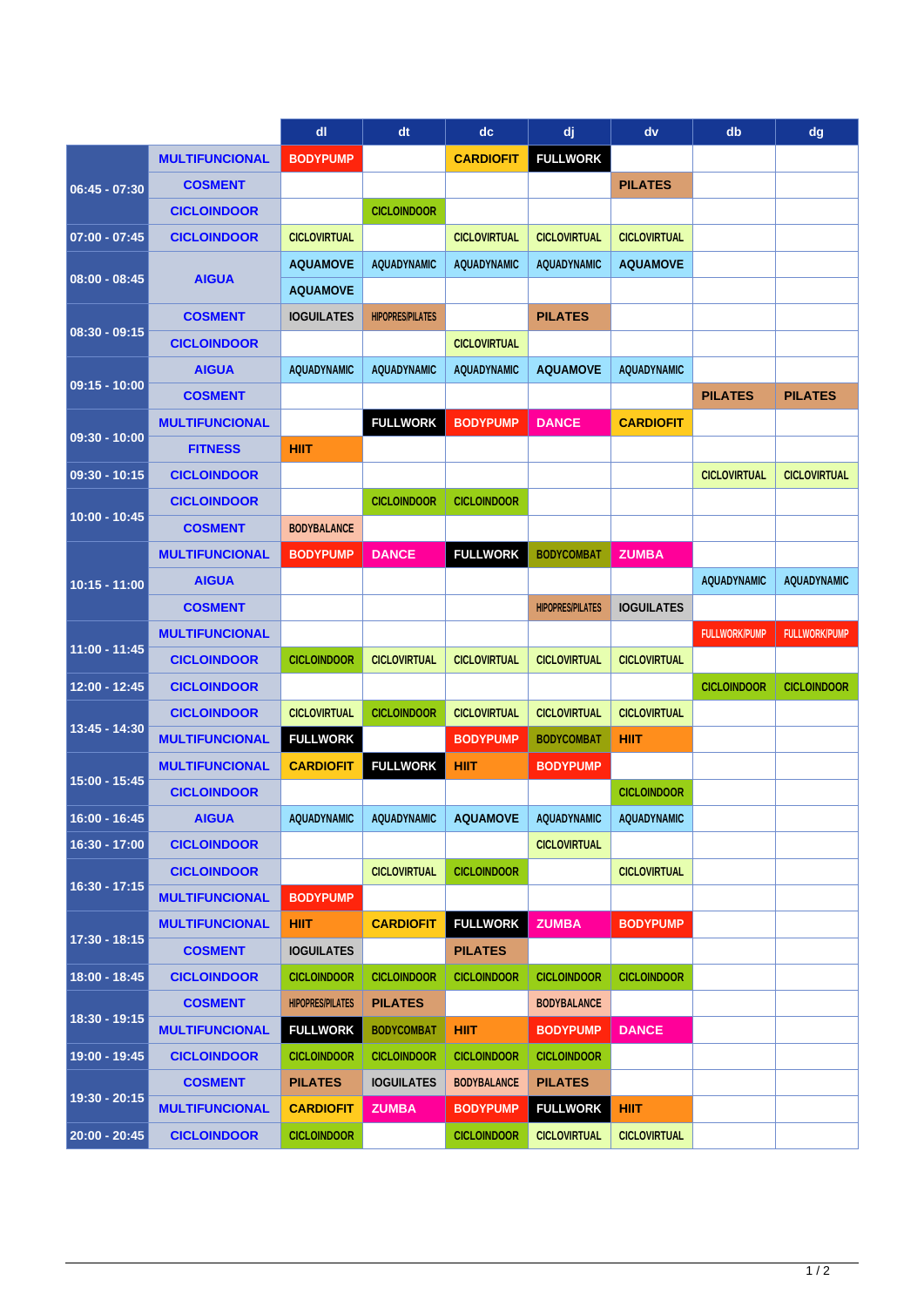|                 |                       | dl                      | dt                      | dc                  | dj                      | dv                  | db                   | dg                   |
|-----------------|-----------------------|-------------------------|-------------------------|---------------------|-------------------------|---------------------|----------------------|----------------------|
|                 | <b>MULTIFUNCIONAL</b> | <b>BODYPUMP</b>         |                         | <b>CARDIOFIT</b>    | <b>FULLWORK</b>         |                     |                      |                      |
| $06:45 - 07:30$ | <b>COSMENT</b>        |                         |                         |                     |                         | <b>PILATES</b>      |                      |                      |
|                 | <b>CICLOINDOOR</b>    |                         | <b>CICLOINDOOR</b>      |                     |                         |                     |                      |                      |
| $07:00 - 07:45$ | <b>CICLOINDOOR</b>    | <b>CICLOVIRTUAL</b>     |                         | <b>CICLOVIRTUAL</b> | <b>CICLOVIRTUAL</b>     | <b>CICLOVIRTUAL</b> |                      |                      |
| $08:00 - 08:45$ | <b>AIGUA</b>          | <b>AQUAMOVE</b>         | <b>AQUADYNAMIC</b>      | <b>AQUADYNAMIC</b>  | <b>AQUADYNAMIC</b>      | <b>AQUAMOVE</b>     |                      |                      |
|                 |                       | <b>AQUAMOVE</b>         |                         |                     |                         |                     |                      |                      |
| $08:30 - 09:15$ | <b>COSMENT</b>        | <b>IOGUILATES</b>       | <b>HIPOPRES/PILATES</b> |                     | <b>PILATES</b>          |                     |                      |                      |
|                 | <b>CICLOINDOOR</b>    |                         |                         | <b>CICLOVIRTUAL</b> |                         |                     |                      |                      |
| $09:15 - 10:00$ | <b>AIGUA</b>          | <b>AQUADYNAMIC</b>      | <b>AQUADYNAMIC</b>      | <b>AQUADYNAMIC</b>  | <b>AQUAMOVE</b>         | <b>AQUADYNAMIC</b>  |                      |                      |
|                 | <b>COSMENT</b>        |                         |                         |                     |                         |                     | <b>PILATES</b>       | <b>PILATES</b>       |
|                 | <b>MULTIFUNCIONAL</b> |                         | <b>FULLWORK</b>         | <b>BODYPUMP</b>     | <b>DANCE</b>            | <b>CARDIOFIT</b>    |                      |                      |
| $09:30 - 10:00$ | <b>FITNESS</b>        | <b>HIIT</b>             |                         |                     |                         |                     |                      |                      |
| $09:30 - 10:15$ | <b>CICLOINDOOR</b>    |                         |                         |                     |                         |                     | <b>CICLOVIRTUAL</b>  | <b>CICLOVIRTUAL</b>  |
| $10:00 - 10:45$ | <b>CICLOINDOOR</b>    |                         | <b>CICLOINDOOR</b>      | <b>CICLOINDOOR</b>  |                         |                     |                      |                      |
|                 | <b>COSMENT</b>        | <b>BODYBALANCE</b>      |                         |                     |                         |                     |                      |                      |
| $10:15 - 11:00$ | <b>MULTIFUNCIONAL</b> | <b>BODYPUMP</b>         | <b>DANCE</b>            | <b>FULLWORK</b>     | <b>BODYCOMBAT</b>       | <b>ZUMBA</b>        |                      |                      |
|                 | <b>AIGUA</b>          |                         |                         |                     |                         |                     | <b>AQUADYNAMIC</b>   | <b>AQUADYNAMIC</b>   |
|                 | <b>COSMENT</b>        |                         |                         |                     | <b>HIPOPRES/PILATES</b> | <b>IOGUILATES</b>   |                      |                      |
| $11:00 - 11:45$ | <b>MULTIFUNCIONAL</b> |                         |                         |                     |                         |                     | <b>FULLWORK/PUMP</b> | <b>FULLWORK/PUMP</b> |
|                 | <b>CICLOINDOOR</b>    | <b>CICLOINDOOR</b>      | <b>CICLOVIRTUAL</b>     | <b>CICLOVIRTUAL</b> | <b>CICLOVIRTUAL</b>     | <b>CICLOVIRTUAL</b> |                      |                      |
| 12:00 - 12:45   | <b>CICLOINDOOR</b>    |                         |                         |                     |                         |                     | <b>CICLOINDOOR</b>   | <b>CICLOINDOOR</b>   |
|                 | <b>CICLOINDOOR</b>    | <b>CICLOVIRTUAL</b>     | <b>CICLOINDOOR</b>      | <b>CICLOVIRTUAL</b> | <b>CICLOVIRTUAL</b>     | <b>CICLOVIRTUAL</b> |                      |                      |
| 13:45 - 14:30   | <b>MULTIFUNCIONAL</b> | <b>FULLWORK</b>         |                         | <b>BODYPUMP</b>     | <b>BODYCOMBAT</b>       | <b>HIIT</b>         |                      |                      |
| 15:00 - 15:45   | <b>MULTIFUNCIONAL</b> | <b>CARDIOFIT</b>        | <b>FULLWORK</b>         | <b>HIIT</b>         | <b>BODYPUMP</b>         |                     |                      |                      |
|                 | <b>CICLOINDOOR</b>    |                         |                         |                     |                         | <b>CICLOINDOOR</b>  |                      |                      |
| 16:00 - 16:45   | <b>AIGUA</b>          | <b>AQUADYNAMIC</b>      | <b>AQUADYNAMIC</b>      | <b>AQUAMOVE</b>     | <b>AQUADYNAMIC</b>      | <b>AQUADYNAMIC</b>  |                      |                      |
| $16:30 - 17:00$ | <b>CICLOINDOOR</b>    |                         |                         |                     | <b>CICLOVIRTUAL</b>     |                     |                      |                      |
| $16:30 - 17:15$ | <b>CICLOINDOOR</b>    |                         | <b>CICLOVIRTUAL</b>     | <b>CICLOINDOOR</b>  |                         | <b>CICLOVIRTUAL</b> |                      |                      |
|                 | <b>MULTIFUNCIONAL</b> | <b>BODYPUMP</b>         |                         |                     |                         |                     |                      |                      |
| $17:30 - 18:15$ | <b>MULTIFUNCIONAL</b> | <b>HIIT</b>             | <b>CARDIOFIT</b>        | <b>FULLWORK</b>     | <b>ZUMBA</b>            | <b>BODYPUMP</b>     |                      |                      |
|                 | <b>COSMENT</b>        | <b>IOGUILATES</b>       |                         | <b>PILATES</b>      |                         |                     |                      |                      |
| 18:00 - 18:45   | <b>CICLOINDOOR</b>    | <b>CICLOINDOOR</b>      | <b>CICLOINDOOR</b>      | <b>CICLOINDOOR</b>  | <b>CICLOINDOOR</b>      | <b>CICLOINDOOR</b>  |                      |                      |
|                 | <b>COSMENT</b>        | <b>HIPOPRES/PILATES</b> | <b>PILATES</b>          |                     | <b>BODYBALANCE</b>      |                     |                      |                      |
| 18:30 - 19:15   | <b>MULTIFUNCIONAL</b> | <b>FULLWORK</b>         | <b>BODYCOMBAT</b>       | <b>HIIT</b>         | <b>BODYPUMP</b>         | <b>DANCE</b>        |                      |                      |
| 19:00 - 19:45   | <b>CICLOINDOOR</b>    | <b>CICLOINDOOR</b>      | <b>CICLOINDOOR</b>      | <b>CICLOINDOOR</b>  | <b>CICLOINDOOR</b>      |                     |                      |                      |
| $19:30 - 20:15$ | <b>COSMENT</b>        | <b>PILATES</b>          | <b>IOGUILATES</b>       | <b>BODYBALANCE</b>  | <b>PILATES</b>          |                     |                      |                      |
|                 | <b>MULTIFUNCIONAL</b> | <b>CARDIOFIT</b>        | <b>ZUMBA</b>            | <b>BODYPUMP</b>     | <b>FULLWORK</b>         | <b>HIIT</b>         |                      |                      |
| $20:00 - 20:45$ | <b>CICLOINDOOR</b>    | <b>CICLOINDOOR</b>      |                         | <b>CICLOINDOOR</b>  | <b>CICLOVIRTUAL</b>     | <b>CICLOVIRTUAL</b> |                      |                      |